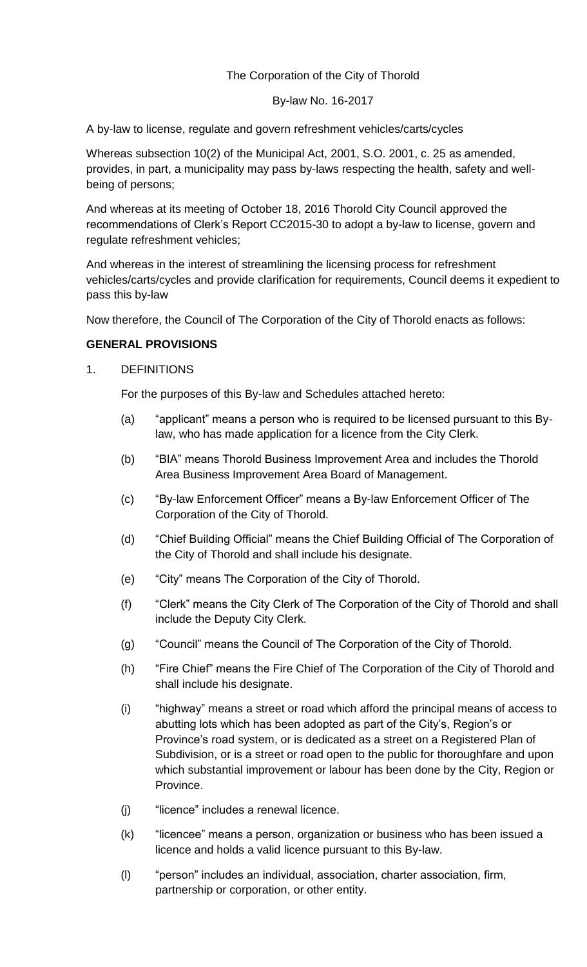# The Corporation of the City of Thorold

#### By-law No. 16-2017

A by-law to license, regulate and govern refreshment vehicles/carts/cycles

Whereas subsection 10(2) of the Municipal Act, 2001, S.O. 2001, c. 25 as amended, provides, in part, a municipality may pass by-laws respecting the health, safety and wellbeing of persons;

And whereas at its meeting of October 18, 2016 Thorold City Council approved the recommendations of Clerk's Report CC2015-30 to adopt a by-law to license, govern and regulate refreshment vehicles;

And whereas in the interest of streamlining the licensing process for refreshment vehicles/carts/cycles and provide clarification for requirements, Council deems it expedient to pass this by-law

Now therefore, the Council of The Corporation of the City of Thorold enacts as follows:

# **GENERAL PROVISIONS**

# 1. DEFINITIONS

For the purposes of this By-law and Schedules attached hereto:

- (a) "applicant" means a person who is required to be licensed pursuant to this Bylaw, who has made application for a licence from the City Clerk.
- (b) "BIA" means Thorold Business Improvement Area and includes the Thorold Area Business Improvement Area Board of Management.
- (c) "By-law Enforcement Officer" means a By-law Enforcement Officer of The Corporation of the City of Thorold.
- (d) "Chief Building Official" means the Chief Building Official of The Corporation of the City of Thorold and shall include his designate.
- (e) "City" means The Corporation of the City of Thorold.
- (f) "Clerk" means the City Clerk of The Corporation of the City of Thorold and shall include the Deputy City Clerk.
- (g) "Council" means the Council of The Corporation of the City of Thorold.
- (h) "Fire Chief" means the Fire Chief of The Corporation of the City of Thorold and shall include his designate.
- (i) "highway" means a street or road which afford the principal means of access to abutting lots which has been adopted as part of the City's, Region's or Province's road system, or is dedicated as a street on a Registered Plan of Subdivision, or is a street or road open to the public for thoroughfare and upon which substantial improvement or labour has been done by the City, Region or Province.
- (j) "licence" includes a renewal licence.
- (k) "licencee" means a person, organization or business who has been issued a licence and holds a valid licence pursuant to this By-law.
- (l) "person" includes an individual, association, charter association, firm, partnership or corporation, or other entity.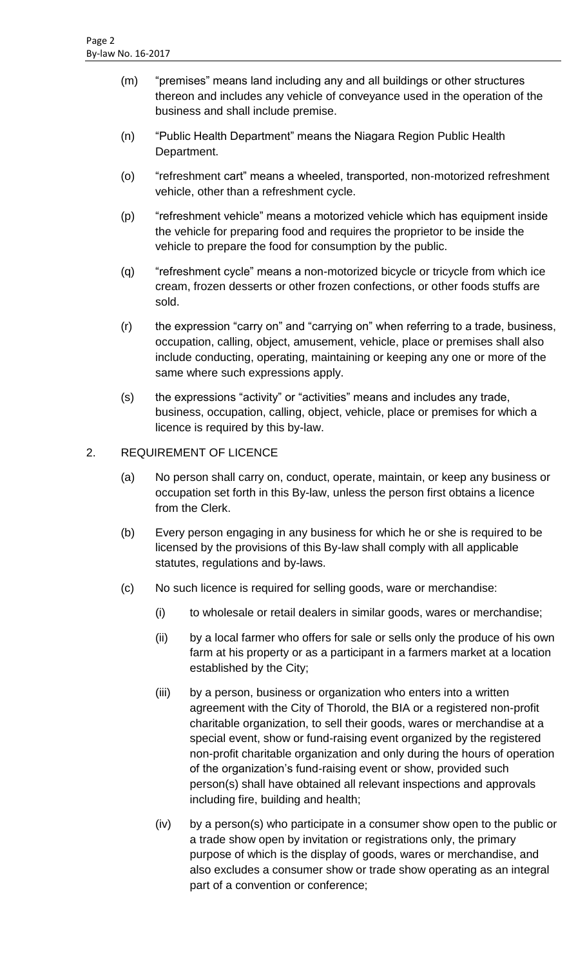- (m) "premises" means land including any and all buildings or other structures thereon and includes any vehicle of conveyance used in the operation of the business and shall include premise.
- (n) "Public Health Department" means the Niagara Region Public Health Department.
- (o) "refreshment cart" means a wheeled, transported, non-motorized refreshment vehicle, other than a refreshment cycle.
- (p) "refreshment vehicle" means a motorized vehicle which has equipment inside the vehicle for preparing food and requires the proprietor to be inside the vehicle to prepare the food for consumption by the public.
- (q) "refreshment cycle" means a non-motorized bicycle or tricycle from which ice cream, frozen desserts or other frozen confections, or other foods stuffs are sold.
- (r) the expression "carry on" and "carrying on" when referring to a trade, business, occupation, calling, object, amusement, vehicle, place or premises shall also include conducting, operating, maintaining or keeping any one or more of the same where such expressions apply.
- (s) the expressions "activity" or "activities" means and includes any trade, business, occupation, calling, object, vehicle, place or premises for which a licence is required by this by-law.

# 2. REQUIREMENT OF LICENCE

- (a) No person shall carry on, conduct, operate, maintain, or keep any business or occupation set forth in this By-law, unless the person first obtains a licence from the Clerk.
- (b) Every person engaging in any business for which he or she is required to be licensed by the provisions of this By-law shall comply with all applicable statutes, regulations and by-laws.
- (c) No such licence is required for selling goods, ware or merchandise:
	- (i) to wholesale or retail dealers in similar goods, wares or merchandise;
	- (ii) by a local farmer who offers for sale or sells only the produce of his own farm at his property or as a participant in a farmers market at a location established by the City;
	- (iii) by a person, business or organization who enters into a written agreement with the City of Thorold, the BIA or a registered non-profit charitable organization, to sell their goods, wares or merchandise at a special event, show or fund-raising event organized by the registered non-profit charitable organization and only during the hours of operation of the organization's fund-raising event or show, provided such person(s) shall have obtained all relevant inspections and approvals including fire, building and health;
	- (iv) by a person(s) who participate in a consumer show open to the public or a trade show open by invitation or registrations only, the primary purpose of which is the display of goods, wares or merchandise, and also excludes a consumer show or trade show operating as an integral part of a convention or conference;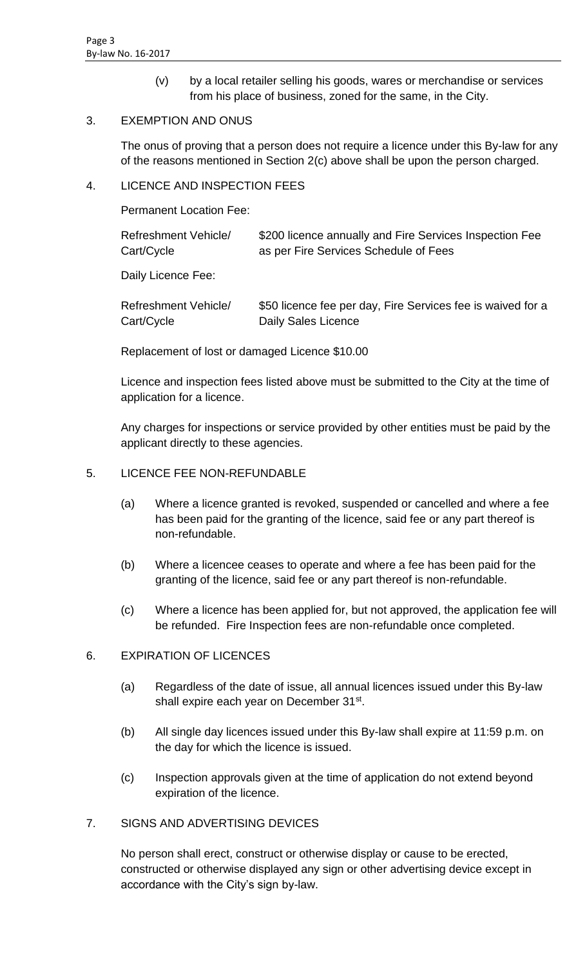(v) by a local retailer selling his goods, wares or merchandise or services from his place of business, zoned for the same, in the City.

#### 3. EXEMPTION AND ONUS

The onus of proving that a person does not require a licence under this By-law for any of the reasons mentioned in Section 2(c) above shall be upon the person charged.

#### 4. LICENCE AND INSPECTION FEES

Permanent Location Fee:

| Refreshment Vehicle/ | \$200 licence annually and Fire Services Inspection Fee |
|----------------------|---------------------------------------------------------|
| Cart/Cycle           | as per Fire Services Schedule of Fees                   |
| Daily Licopco Foot   |                                                         |

Daily Licence Fee:

| Refreshment Vehicle/ | \$50 licence fee per day, Fire Services fee is waived for a |
|----------------------|-------------------------------------------------------------|
| Cart/Cycle           | Daily Sales Licence                                         |

Replacement of lost or damaged Licence \$10.00

Licence and inspection fees listed above must be submitted to the City at the time of application for a licence.

Any charges for inspections or service provided by other entities must be paid by the applicant directly to these agencies.

#### 5. LICENCE FEE NON-REFUNDABLE

- (a) Where a licence granted is revoked, suspended or cancelled and where a fee has been paid for the granting of the licence, said fee or any part thereof is non-refundable.
- (b) Where a licencee ceases to operate and where a fee has been paid for the granting of the licence, said fee or any part thereof is non-refundable.
- (c) Where a licence has been applied for, but not approved, the application fee will be refunded. Fire Inspection fees are non-refundable once completed.

# 6. EXPIRATION OF LICENCES

- (a) Regardless of the date of issue, all annual licences issued under this By-law shall expire each year on December 31st.
- (b) All single day licences issued under this By-law shall expire at 11:59 p.m. on the day for which the licence is issued.
- (c) Inspection approvals given at the time of application do not extend beyond expiration of the licence.

# 7. SIGNS AND ADVERTISING DEVICES

No person shall erect, construct or otherwise display or cause to be erected, constructed or otherwise displayed any sign or other advertising device except in accordance with the City's sign by-law.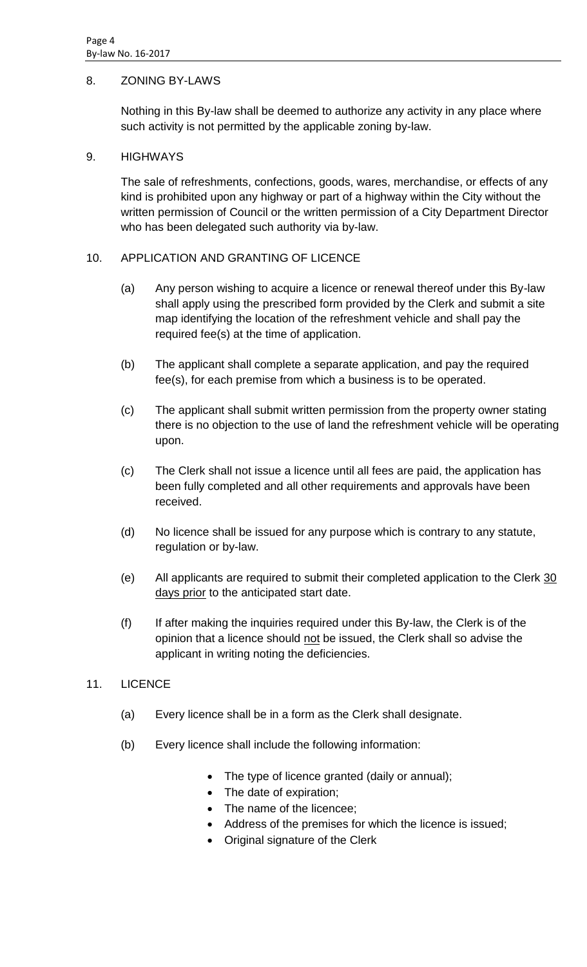# 8. ZONING BY-LAWS

Nothing in this By-law shall be deemed to authorize any activity in any place where such activity is not permitted by the applicable zoning by-law.

#### 9. HIGHWAYS

The sale of refreshments, confections, goods, wares, merchandise, or effects of any kind is prohibited upon any highway or part of a highway within the City without the written permission of Council or the written permission of a City Department Director who has been delegated such authority via by-law.

# 10. APPLICATION AND GRANTING OF LICENCE

- (a) Any person wishing to acquire a licence or renewal thereof under this By-law shall apply using the prescribed form provided by the Clerk and submit a site map identifying the location of the refreshment vehicle and shall pay the required fee(s) at the time of application.
- (b) The applicant shall complete a separate application, and pay the required fee(s), for each premise from which a business is to be operated.
- (c) The applicant shall submit written permission from the property owner stating there is no objection to the use of land the refreshment vehicle will be operating upon.
- (c) The Clerk shall not issue a licence until all fees are paid, the application has been fully completed and all other requirements and approvals have been received.
- (d) No licence shall be issued for any purpose which is contrary to any statute, regulation or by-law.
- (e) All applicants are required to submit their completed application to the Clerk 30 days prior to the anticipated start date.
- (f) If after making the inquiries required under this By-law, the Clerk is of the opinion that a licence should not be issued, the Clerk shall so advise the applicant in writing noting the deficiencies.

# 11. LICENCE

- (a) Every licence shall be in a form as the Clerk shall designate.
- (b) Every licence shall include the following information:
	- The type of licence granted (daily or annual);
	- The date of expiration;
	- The name of the licencee;
	- Address of the premises for which the licence is issued;
	- Original signature of the Clerk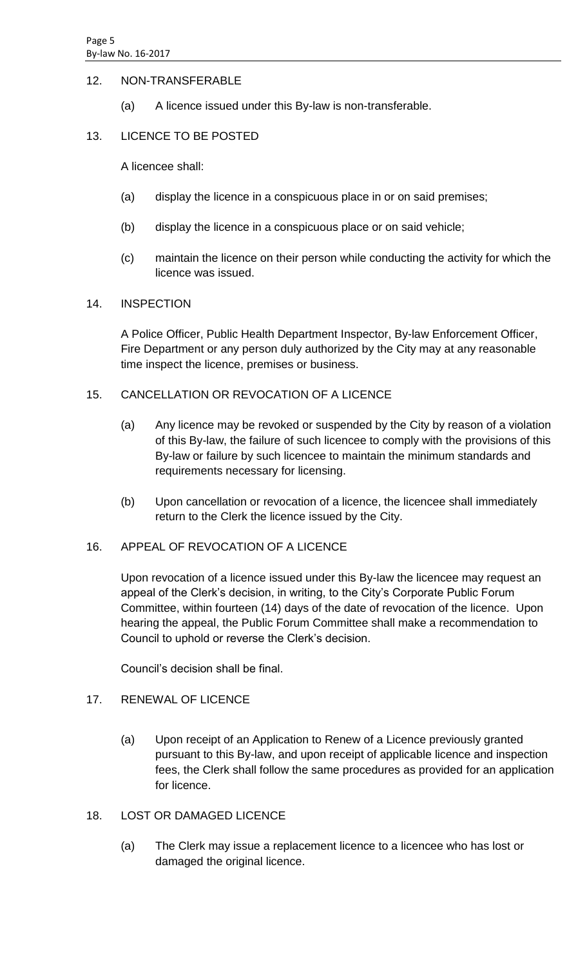#### 12. NON-TRANSFERABLE

(a) A licence issued under this By-law is non-transferable.

# 13. LICENCE TO BE POSTED

A licencee shall:

- (a) display the licence in a conspicuous place in or on said premises;
- (b) display the licence in a conspicuous place or on said vehicle;
- (c) maintain the licence on their person while conducting the activity for which the licence was issued.

#### 14. INSPECTION

A Police Officer, Public Health Department Inspector, By-law Enforcement Officer, Fire Department or any person duly authorized by the City may at any reasonable time inspect the licence, premises or business.

# 15. CANCELLATION OR REVOCATION OF A LICENCE

- (a) Any licence may be revoked or suspended by the City by reason of a violation of this By-law, the failure of such licencee to comply with the provisions of this By-law or failure by such licencee to maintain the minimum standards and requirements necessary for licensing.
- (b) Upon cancellation or revocation of a licence, the licencee shall immediately return to the Clerk the licence issued by the City.

# 16. APPEAL OF REVOCATION OF A LICENCE

Upon revocation of a licence issued under this By-law the licencee may request an appeal of the Clerk's decision, in writing, to the City's Corporate Public Forum Committee, within fourteen (14) days of the date of revocation of the licence. Upon hearing the appeal, the Public Forum Committee shall make a recommendation to Council to uphold or reverse the Clerk's decision.

Council's decision shall be final.

# 17. RENEWAL OF LICENCE

(a) Upon receipt of an Application to Renew of a Licence previously granted pursuant to this By-law, and upon receipt of applicable licence and inspection fees, the Clerk shall follow the same procedures as provided for an application for licence.

# 18. LOST OR DAMAGED LICENCE

(a) The Clerk may issue a replacement licence to a licencee who has lost or damaged the original licence.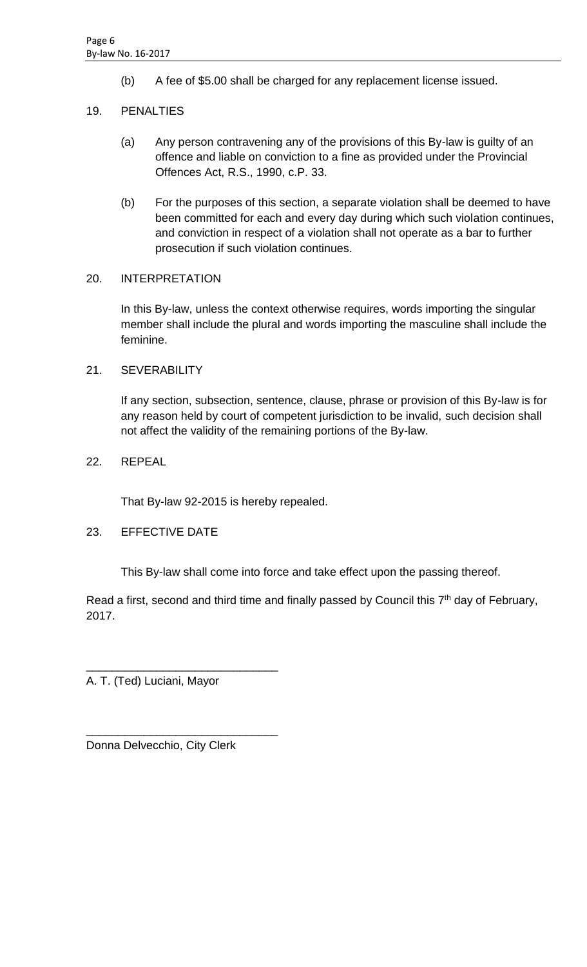(b) A fee of \$5.00 shall be charged for any replacement license issued.

# 19. PENALTIES

- (a) Any person contravening any of the provisions of this By-law is guilty of an offence and liable on conviction to a fine as provided under the Provincial Offences Act, R.S., 1990, c.P. 33.
- (b) For the purposes of this section, a separate violation shall be deemed to have been committed for each and every day during which such violation continues, and conviction in respect of a violation shall not operate as a bar to further prosecution if such violation continues.

# 20. INTERPRETATION

In this By-law, unless the context otherwise requires, words importing the singular member shall include the plural and words importing the masculine shall include the feminine.

# 21. SEVERABILITY

If any section, subsection, sentence, clause, phrase or provision of this By-law is for any reason held by court of competent jurisdiction to be invalid, such decision shall not affect the validity of the remaining portions of the By-law.

# 22. REPEAL

That By-law 92-2015 is hereby repealed.

# 23. EFFECTIVE DATE

This By-law shall come into force and take effect upon the passing thereof.

Read a first, second and third time and finally passed by Council this  $7<sup>th</sup>$  day of February, 2017.

A. T. (Ted) Luciani, Mayor

\_\_\_\_\_\_\_\_\_\_\_\_\_\_\_\_\_\_\_\_\_\_\_\_\_\_\_\_\_\_

\_\_\_\_\_\_\_\_\_\_\_\_\_\_\_\_\_\_\_\_\_\_\_\_\_\_\_\_\_\_

Donna Delvecchio, City Clerk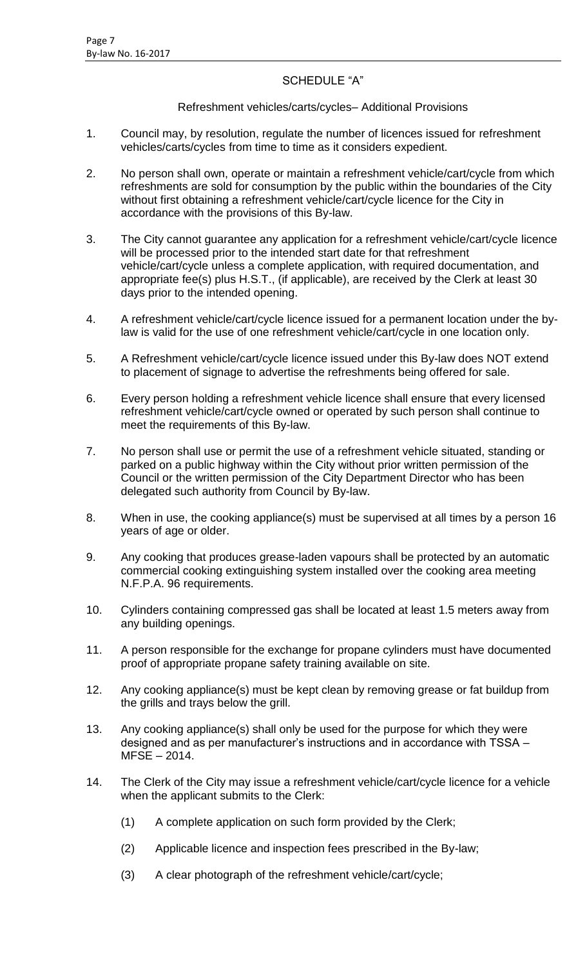# SCHEDULE "A"

# Refreshment vehicles/carts/cycles– Additional Provisions

- 1. Council may, by resolution, regulate the number of licences issued for refreshment vehicles/carts/cycles from time to time as it considers expedient.
- 2. No person shall own, operate or maintain a refreshment vehicle/cart/cycle from which refreshments are sold for consumption by the public within the boundaries of the City without first obtaining a refreshment vehicle/cart/cycle licence for the City in accordance with the provisions of this By-law.
- 3. The City cannot guarantee any application for a refreshment vehicle/cart/cycle licence will be processed prior to the intended start date for that refreshment vehicle/cart/cycle unless a complete application, with required documentation, and appropriate fee(s) plus H.S.T., (if applicable), are received by the Clerk at least 30 days prior to the intended opening.
- 4. A refreshment vehicle/cart/cycle licence issued for a permanent location under the bylaw is valid for the use of one refreshment vehicle/cart/cycle in one location only.
- 5. A Refreshment vehicle/cart/cycle licence issued under this By-law does NOT extend to placement of signage to advertise the refreshments being offered for sale.
- 6. Every person holding a refreshment vehicle licence shall ensure that every licensed refreshment vehicle/cart/cycle owned or operated by such person shall continue to meet the requirements of this By-law.
- 7. No person shall use or permit the use of a refreshment vehicle situated, standing or parked on a public highway within the City without prior written permission of the Council or the written permission of the City Department Director who has been delegated such authority from Council by By-law.
- 8. When in use, the cooking appliance(s) must be supervised at all times by a person 16 years of age or older.
- 9. Any cooking that produces grease-laden vapours shall be protected by an automatic commercial cooking extinguishing system installed over the cooking area meeting N.F.P.A. 96 requirements.
- 10. Cylinders containing compressed gas shall be located at least 1.5 meters away from any building openings.
- 11. A person responsible for the exchange for propane cylinders must have documented proof of appropriate propane safety training available on site.
- 12. Any cooking appliance(s) must be kept clean by removing grease or fat buildup from the grills and trays below the grill.
- 13. Any cooking appliance(s) shall only be used for the purpose for which they were designed and as per manufacturer's instructions and in accordance with TSSA – MFSE – 2014.
- 14. The Clerk of the City may issue a refreshment vehicle/cart/cycle licence for a vehicle when the applicant submits to the Clerk:
	- (1) A complete application on such form provided by the Clerk;
	- (2) Applicable licence and inspection fees prescribed in the By-law;
	- (3) A clear photograph of the refreshment vehicle/cart/cycle;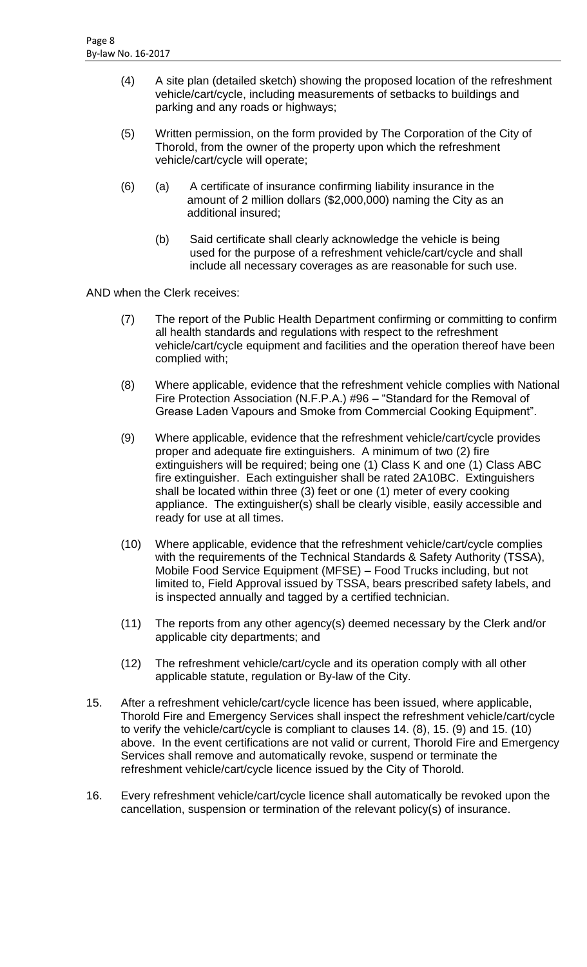- (4) A site plan (detailed sketch) showing the proposed location of the refreshment vehicle/cart/cycle, including measurements of setbacks to buildings and parking and any roads or highways;
- (5) Written permission, on the form provided by The Corporation of the City of Thorold, from the owner of the property upon which the refreshment vehicle/cart/cycle will operate;
- (6) (a) A certificate of insurance confirming liability insurance in the amount of 2 million dollars (\$2,000,000) naming the City as an additional insured;
	- (b) Said certificate shall clearly acknowledge the vehicle is being used for the purpose of a refreshment vehicle/cart/cycle and shall include all necessary coverages as are reasonable for such use.

AND when the Clerk receives:

- (7) The report of the Public Health Department confirming or committing to confirm all health standards and regulations with respect to the refreshment vehicle/cart/cycle equipment and facilities and the operation thereof have been complied with;
- (8) Where applicable, evidence that the refreshment vehicle complies with National Fire Protection Association (N.F.P.A.) #96 – "Standard for the Removal of Grease Laden Vapours and Smoke from Commercial Cooking Equipment".
- (9) Where applicable, evidence that the refreshment vehicle/cart/cycle provides proper and adequate fire extinguishers. A minimum of two (2) fire extinguishers will be required; being one (1) Class K and one (1) Class ABC fire extinguisher. Each extinguisher shall be rated 2A10BC. Extinguishers shall be located within three (3) feet or one (1) meter of every cooking appliance. The extinguisher(s) shall be clearly visible, easily accessible and ready for use at all times.
- (10) Where applicable, evidence that the refreshment vehicle/cart/cycle complies with the requirements of the Technical Standards & Safety Authority (TSSA), Mobile Food Service Equipment (MFSE) – Food Trucks including, but not limited to, Field Approval issued by TSSA, bears prescribed safety labels, and is inspected annually and tagged by a certified technician.
- (11) The reports from any other agency(s) deemed necessary by the Clerk and/or applicable city departments; and
- (12) The refreshment vehicle/cart/cycle and its operation comply with all other applicable statute, regulation or By-law of the City.
- 15. After a refreshment vehicle/cart/cycle licence has been issued, where applicable, Thorold Fire and Emergency Services shall inspect the refreshment vehicle/cart/cycle to verify the vehicle/cart/cycle is compliant to clauses 14. (8), 15. (9) and 15. (10) above. In the event certifications are not valid or current, Thorold Fire and Emergency Services shall remove and automatically revoke, suspend or terminate the refreshment vehicle/cart/cycle licence issued by the City of Thorold.
- 16. Every refreshment vehicle/cart/cycle licence shall automatically be revoked upon the cancellation, suspension or termination of the relevant policy(s) of insurance.